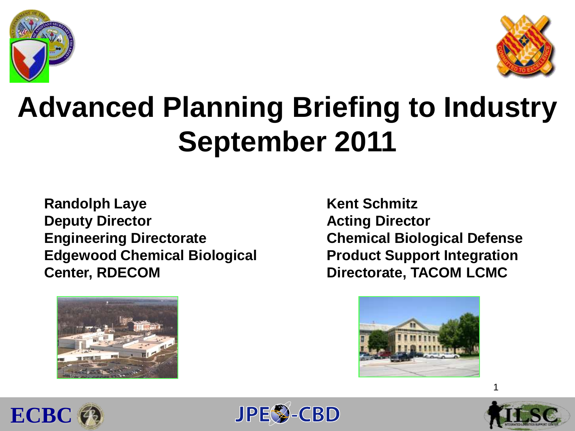



# **Advanced Planning Briefing to Industry September 2011**

**Randolph Laye Deputy Director Engineering Directorate Edgewood Chemical Biological Center, RDECOM**



**Kent Schmitz Acting Director Chemical Biological Defense Product Support Integration Directorate, TACOM LCMC** 







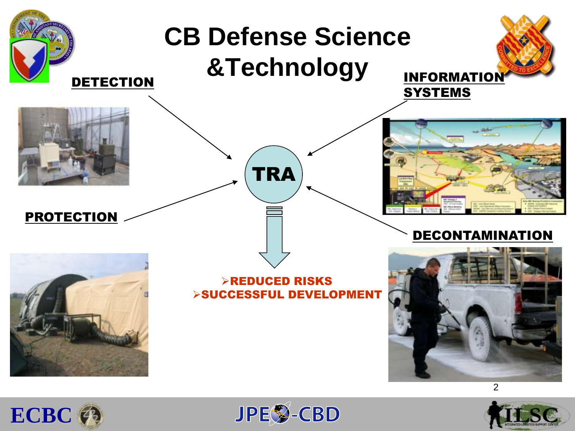





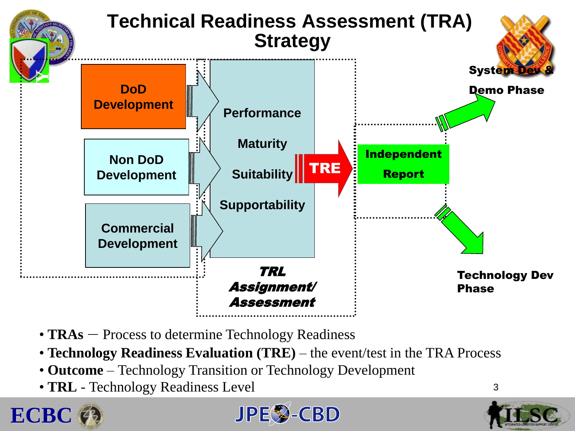

- **TRAs** Process to determine Technology Readiness
- **Technology Readiness Evaluation (TRE)** the event/test in the TRA Process
- **Outcome** Technology Transition or Technology Development
- **TRL** Technology Readiness Level





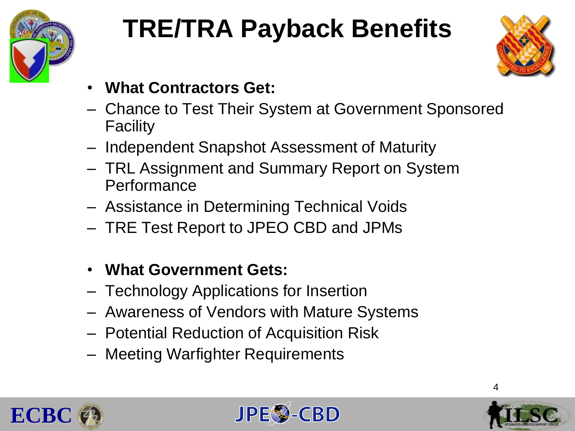

# **TRE/TRA Payback Benefits**



- **What Contractors Get:**
- Chance to Test Their System at Government Sponsored Facility
- Independent Snapshot Assessment of Maturity
- TRL Assignment and Summary Report on System Performance
- Assistance in Determining Technical Voids
- TRE Test Report to JPEO CBD and JPMs
- **What Government Gets:**
- Technology Applications for Insertion
- Awareness of Vendors with Mature Systems
- Potential Reduction of Acquisition Risk
- Meeting Warfighter Requirements







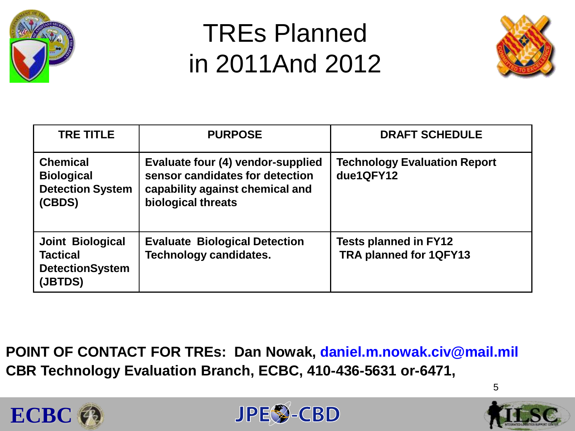

## TREs Planned in 2011And 2012



| <b>TRE TITLE</b>                                                                | <b>PURPOSE</b>                                                                                                                | <b>DRAFT SCHEDULE</b>                                         |
|---------------------------------------------------------------------------------|-------------------------------------------------------------------------------------------------------------------------------|---------------------------------------------------------------|
| <b>Chemical</b><br><b>Biological</b><br><b>Detection System</b><br>(CBDS)       | Evaluate four (4) vendor-supplied<br>sensor candidates for detection<br>capability against chemical and<br>biological threats | <b>Technology Evaluation Report</b><br>due1QFY12              |
| <b>Joint Biological</b><br><b>Tactical</b><br><b>DetectionSystem</b><br>(JBTDS) | <b>Evaluate Biological Detection</b><br><b>Technology candidates.</b>                                                         | <b>Tests planned in FY12</b><br><b>TRA planned for 1QFY13</b> |

**POINT OF CONTACT FOR TREs: Dan Nowak, daniel.m.nowak.civ@mail.mil CBR Technology Evaluation Branch, ECBC, 410-436-5631 or-6471,**





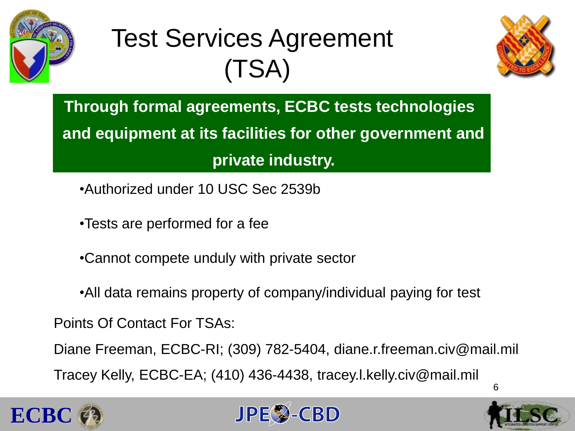

# Test Services Agreement (TSA)



**Through formal agreements, ECBC tests technologies and equipment at its facilities for other government and private industry.**

- •Authorized under 10 USC Sec 2539b
- •Tests are performed for a fee
- •Cannot compete unduly with private sector
- •All data remains property of company/individual paying for test

Points Of Contact For TSAs:

Diane Freeman, ECBC-RI; (309) 782-5404, diane.r.freeman.civ@mail.mil

Tracey Kelly, ECBC-EA; (410) 436-4438, tracey.l.kelly.civ@mail.mil





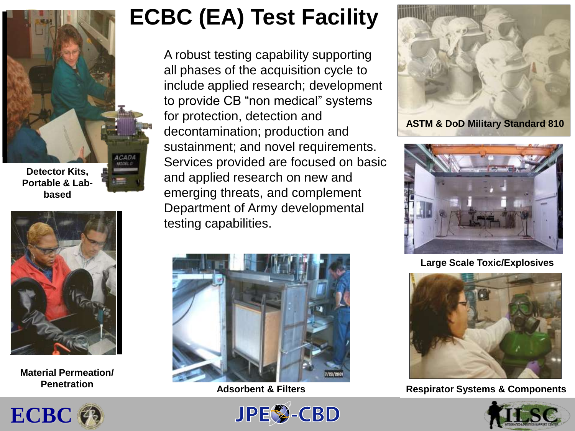

**Detector Kits, Portable & Labbased** 



**Material Permeation/ Penetration** 

### **ECBC (EA) Test Facility**

A robust testing capability supporting all phases of the acquisition cycle to include applied research; development to provide CB "non medical" systems for protection, detection and decontamination; production and sustainment; and novel requirements. Services provided are focused on basic and applied research on new and emerging threats, and complement Department of Army developmental testing capabilities.









#### **Large Scale Toxic/Explosives**



#### **Adsorbent & Filters** 7 **Respirator Systems & Components**



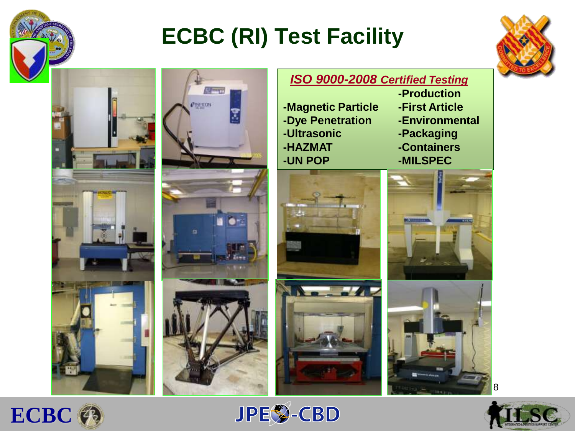

### **ECBC (RI) Test Facility**







*ISO 9000-2008 Certified Testing* **-Production -Magnetic Particle -First Article -Dye Penetration -Environmental -Ultrasonic -Packaging -HAZMAT -Containers -UN POP -MILSPEC**No. 14. ₩









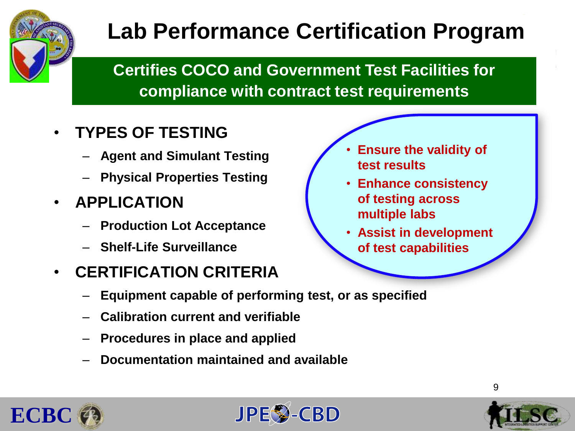

### **Lab Performance Certification Program**

#### **Certifies COCO and Government Test Facilities for compliance with contract test requirements**

#### • **TYPES OF TESTING**

- **Agent and Simulant Testing**
- **Physical Properties Testing**
- **APPLICATION**
	- **Production Lot Acceptance**
	- **Shelf-Life Surveillance**

#### • **CERTIFICATION CRITERIA**

- **Equipment capable of performing test, or as specified**
- **Calibration current and verifiable**
- **Procedures in place and applied**
- **Documentation maintained and available**
- **Ensure the validity of test results**
- **Enhance consistency of testing across multiple labs**
- **Assist in development of test capabilities**





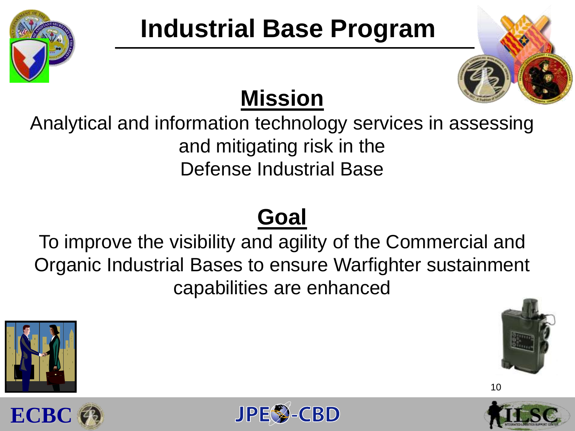

# **Industrial Base Program**



### **Mission**

Analytical and information technology services in assessing and mitigating risk in the Defense Industrial Base

### **Goal**

To improve the visibility and agility of the Commercial and Organic Industrial Bases to ensure Warfighter sustainment capabilities are enhanced





**ECBC**



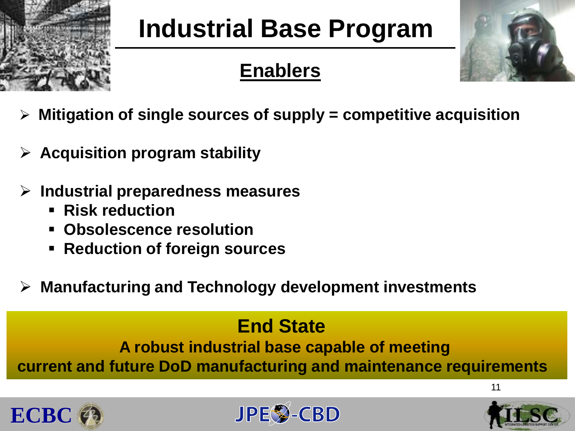

# **Industrial Base Program**

### **Enablers**



- **Mitigation of single sources of supply = competitive acquisition**
- **Acquisition program stability**
- **Industrial preparedness measures**
	- **Risk reduction**
	- **Obsolescence resolution**
	- **Reduction of foreign sources**
- **Manufacturing and Technology development investments**

### **End State**

**A robust industrial base capable of meeting current and future DoD manufacturing and maintenance requirements** 







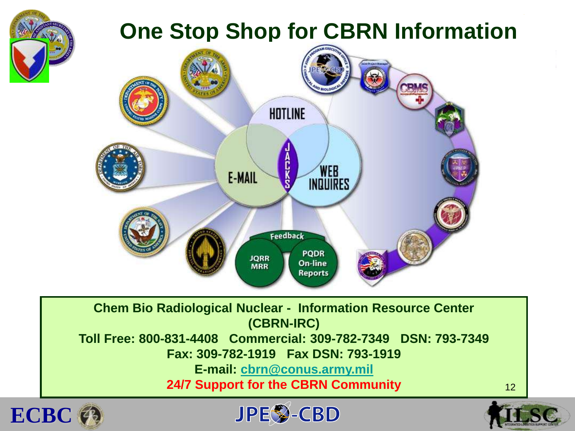





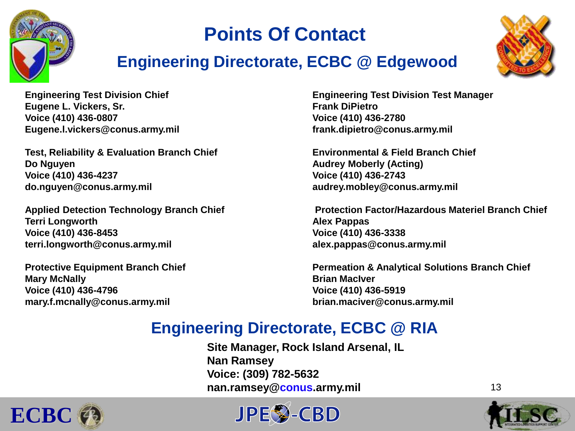

### **Points Of Contact**

#### **Engineering Directorate, ECBC @ Edgewood**



**Eugene L. Vickers, Sr. Southern Contract Contract Contract Contract Contract Contract Contract Contract Contract Contract Contract Contract Contract Contract Contract Contract Contract Contract Contract Contract Contract Voice (410) 436-0807 Voice (410) 436-2780 Eugene.l.vickers@conus.army.mil frank.dipietro@conus.army.mil**

**Test, Reliability & Evaluation Branch Chief Environmental & Field Branch Chief Do Nguyen Audrey Moberly (Acting) Voice (410) 436-4237 Voice (410) 436-2743 do.nguyen@conus.army.mil audrey.mobley@conus.army.mil** 

**Terri Longworth Alex Pappas Voice (410) 436-8453 Voice (410) 436-3338 terri.longworth@conus.army.mil alex.pappas@conus.army.mil** 

**Mary McNally Brian MacIver Voice (410) 436-4796 Voice (410) 436-5919 mary.f.mcnally@conus.army.mil brian.maciver@conus.army.mil**

**Engineering Test Division Chief Engineering Test Division Test Manager**

Applied Detection Technology Branch Chief **Protection Factor/Hazardous Materiel Branch Chief** 

**Protective Equipment Branch Chief Permeation & Analytical Solutions Branch Chief** 

#### **Engineering Directorate, ECBC @ RIA**

**Site Manager, Rock Island Arsenal, IL Nan Ramsey Voice: (309) 782-5632 nan.ramsey@conus.army.mil**





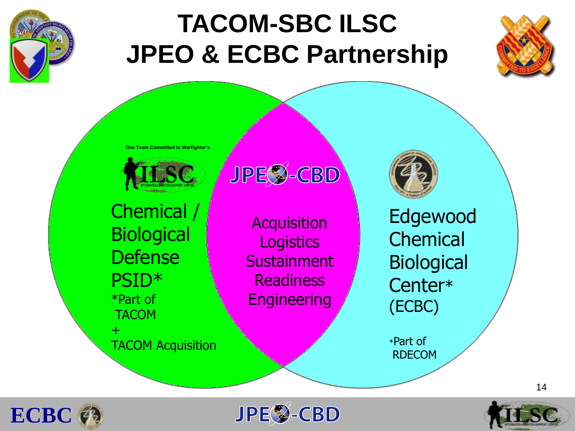

# **TACOM-SBC ILSC JPEO & ECBC Partnership**



**One Team Committed to Warfighter's**



Chemical / **Biological Defense** PSID\* \*Part of **TACOM** +

TACOM Acquisition

**JPES-CBD** 

**Acquisition Logistics Sustainment** Readiness **Engineering** 

Edgewood **Chemical** Biological Center\* (ECBC)

\*Part of RDECOM





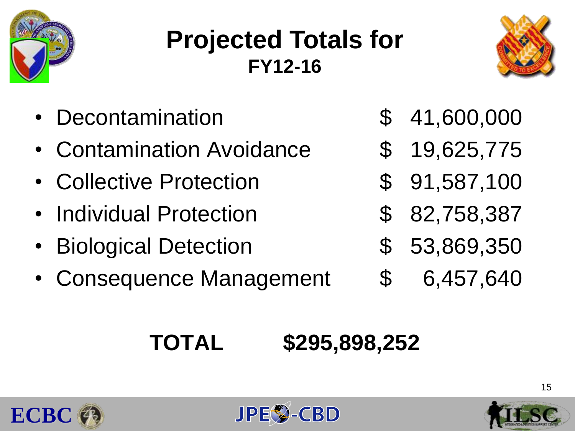

## **Projected Totals for FY12-16**



- Decontamination \$ 41,600,000
- Contamination Avoidance  $$ 19,625,775$
- Collective Protection  $$91,587,100$
- Individual Protection **\$ 82,758,387**
- Biological Detection  $$53,869,350$
- Consequence Management  $$6,457,640$
- 
- 
- 
- 
- -

### **TOTAL \$295,898,252**





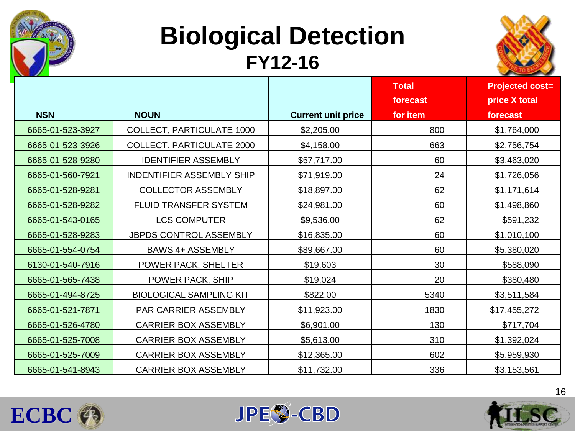

### **Biological Detection FY12-16**



|                  |                                  |                           | <b>Total</b> | <b>Projected cost=</b> |
|------------------|----------------------------------|---------------------------|--------------|------------------------|
|                  |                                  |                           | forecast     | price X total          |
| <b>NSN</b>       | <b>NOUN</b>                      | <b>Current unit price</b> | for item     | forecast               |
| 6665-01-523-3927 | COLLECT, PARTICULATE 1000        | \$2,205.00                | 800          | \$1,764,000            |
| 6665-01-523-3926 | COLLECT, PARTICULATE 2000        | \$4,158.00                | 663          | \$2,756,754            |
| 6665-01-528-9280 | <b>IDENTIFIER ASSEMBLY</b>       | \$57,717.00               | 60           | \$3,463,020            |
| 6665-01-560-7921 | <b>INDENTIFIER ASSEMBLY SHIP</b> | \$71,919.00               | 24           | \$1,726,056            |
| 6665-01-528-9281 | <b>COLLECTOR ASSEMBLY</b>        | \$18,897.00               | 62           | \$1,171,614            |
| 6665-01-528-9282 | FLUID TRANSFER SYSTEM            | \$24,981.00               | 60           | \$1,498,860            |
| 6665-01-543-0165 | <b>LCS COMPUTER</b>              | \$9,536.00                | 62           | \$591,232              |
| 6665-01-528-9283 | JBPDS CONTROL ASSEMBLY           | \$16,835.00               | 60           | \$1,010,100            |
| 6665-01-554-0754 | <b>BAWS 4+ ASSEMBLY</b>          | \$89,667.00               | 60           | \$5,380,020            |
| 6130-01-540-7916 | POWER PACK, SHELTER              | \$19,603                  | 30           | \$588,090              |
| 6665-01-565-7438 | POWER PACK, SHIP                 | \$19,024                  | 20           | \$380,480              |
| 6665-01-494-8725 | <b>BIOLOGICAL SAMPLING KIT</b>   | \$822.00                  | 5340         | \$3,511,584            |
| 6665-01-521-7871 | <b>PAR CARRIER ASSEMBLY</b>      | \$11,923.00               | 1830         | \$17,455,272           |
| 6665-01-526-4780 | <b>CARRIER BOX ASSEMBLY</b>      | \$6,901.00                | 130          | \$717,704              |
| 6665-01-525-7008 | <b>CARRIER BOX ASSEMBLY</b>      | \$5,613.00                | 310          | \$1,392,024            |
| 6665-01-525-7009 | <b>CARRIER BOX ASSEMBLY</b>      | \$12,365.00               | 602          | \$5,959,930            |
| 6665-01-541-8943 | <b>CARRIER BOX ASSEMBLY</b>      | \$11,732.00               | 336          | \$3,153,561            |





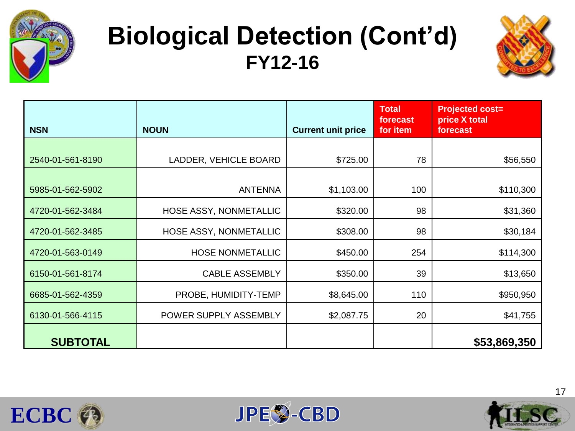

### **Biological Detection (Cont'd) FY12-16**



| <b>NSN</b>       | <b>NOUN</b>             | <b>Current unit price</b> | Total<br>forecast<br>for item | <b>Projected cost=</b><br>price X total<br>forecast |
|------------------|-------------------------|---------------------------|-------------------------------|-----------------------------------------------------|
|                  |                         |                           |                               |                                                     |
| 2540-01-561-8190 | LADDER, VEHICLE BOARD   | \$725.00                  | 78                            | \$56,550                                            |
|                  |                         |                           |                               |                                                     |
| 5985-01-562-5902 | <b>ANTENNA</b>          | \$1,103.00                | 100                           | \$110,300                                           |
| 4720-01-562-3484 | HOSE ASSY, NONMETALLIC  | \$320.00                  | 98                            | \$31,360                                            |
| 4720-01-562-3485 | HOSE ASSY, NONMETALLIC  | \$308.00                  | 98                            | \$30,184                                            |
| 4720-01-563-0149 | <b>HOSE NONMETALLIC</b> | \$450.00                  | 254                           | \$114,300                                           |
| 6150-01-561-8174 | <b>CABLE ASSEMBLY</b>   | \$350.00                  | 39                            | \$13,650                                            |
| 6685-01-562-4359 | PROBE, HUMIDITY-TEMP    | \$8,645.00                | 110                           | \$950,950                                           |
| 6130-01-566-4115 | POWER SUPPLY ASSEMBLY   | \$2,087.75                | 20                            | \$41,755                                            |
| <b>SUBTOTAL</b>  |                         |                           |                               | \$53,869,350                                        |





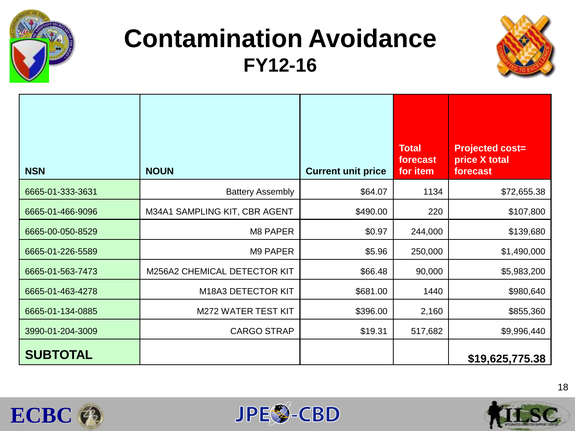

### **Contamination Avoidance FY12-16**



| <b>NSN</b>       | <b>NOUN</b>                   | <b>Current unit price</b> | <b>Total</b><br>forecast<br>for item | <b>Projected cost=</b><br>price X total<br>forecast |
|------------------|-------------------------------|---------------------------|--------------------------------------|-----------------------------------------------------|
| 6665-01-333-3631 | <b>Battery Assembly</b>       | \$64.07                   | 1134                                 | \$72,655.38                                         |
| 6665-01-466-9096 | M34A1 SAMPLING KIT, CBR AGENT | \$490.00                  | 220                                  | \$107,800                                           |
| 6665-00-050-8529 | M8 PAPER                      | \$0.97                    | 244,000                              | \$139,680                                           |
| 6665-01-226-5589 | M9 PAPER                      | \$5.96                    | 250,000                              | \$1,490,000                                         |
| 6665-01-563-7473 | M256A2 CHEMICAL DETECTOR KIT  | \$66.48                   | 90,000                               | \$5,983,200                                         |
| 6665-01-463-4278 | M18A3 DETECTOR KIT            | \$681.00                  | 1440                                 | \$980,640                                           |
| 6665-01-134-0885 | <b>M272 WATER TEST KIT</b>    | \$396.00                  | 2,160                                | \$855,360                                           |
| 3990-01-204-3009 | <b>CARGO STRAP</b>            | \$19.31                   | 517,682                              | \$9,996,440                                         |
| <b>SUBTOTAL</b>  |                               |                           |                                      | \$19,625,775.38                                     |





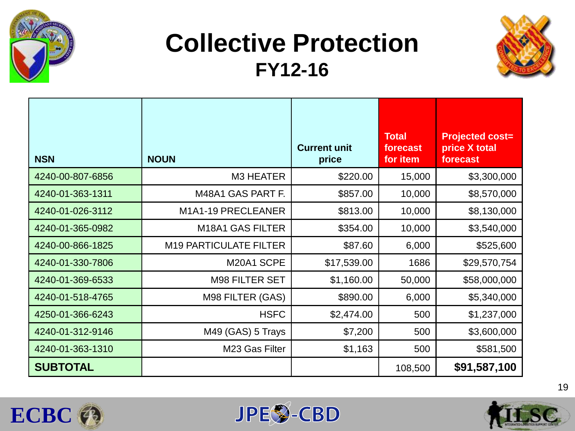

### **Collective Protection FY12-16**



| <b>NSN</b>       | <b>NOUN</b>                   | <b>Current unit</b><br>price | <b>Total</b><br>forecast<br>for item | <b>Projected cost=</b><br>price X total<br>forecast |
|------------------|-------------------------------|------------------------------|--------------------------------------|-----------------------------------------------------|
| 4240-00-807-6856 | M3 HEATER                     | \$220.00                     | 15,000                               | \$3,300,000                                         |
| 4240-01-363-1311 | M48A1 GAS PART F.             | \$857.00                     | 10,000                               | \$8,570,000                                         |
| 4240-01-026-3112 | M1A1-19 PRECLEANER            | \$813.00                     | 10,000                               | \$8,130,000                                         |
| 4240-01-365-0982 | M18A1 GAS FILTER              | \$354.00                     | 10,000                               | \$3,540,000                                         |
| 4240-00-866-1825 | <b>M19 PARTICULATE FILTER</b> | \$87.60                      | 6,000                                | \$525,600                                           |
| 4240-01-330-7806 | M20A1 SCPE                    | \$17,539.00                  | 1686                                 | \$29,570,754                                        |
| 4240-01-369-6533 | <b>M98 FILTER SET</b>         | \$1,160.00                   | 50,000                               | \$58,000,000                                        |
| 4240-01-518-4765 | M98 FILTER (GAS)              | \$890.00                     | 6,000                                | \$5,340,000                                         |
| 4250-01-366-6243 | <b>HSFC</b>                   | \$2,474.00                   | 500                                  | \$1,237,000                                         |
| 4240-01-312-9146 | M49 (GAS) 5 Trays             | \$7,200                      | 500                                  | \$3,600,000                                         |
| 4240-01-363-1310 | M23 Gas Filter                | \$1,163                      | 500                                  | \$581,500                                           |
| <b>SUBTOTAL</b>  |                               |                              | 108,500                              | \$91,587,100                                        |





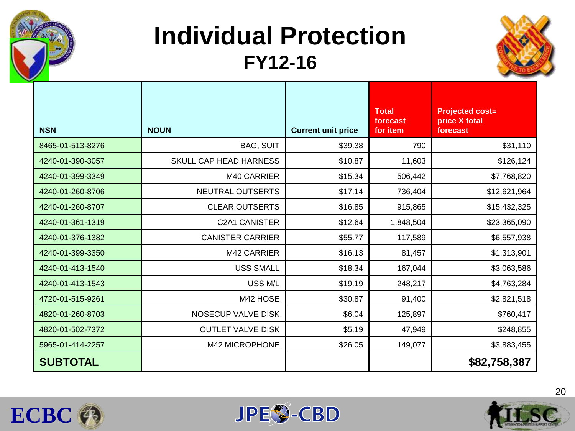

### **Individual Protection FY12-16**



| <b>NSN</b>       | <b>NOUN</b>              | <b>Current unit price</b> | <b>Total</b><br>forecast<br>for item | <b>Projected cost=</b><br>price X total<br>forecast |
|------------------|--------------------------|---------------------------|--------------------------------------|-----------------------------------------------------|
| 8465-01-513-8276 | <b>BAG, SUIT</b>         | \$39.38                   | 790                                  | \$31,110                                            |
| 4240-01-390-3057 | SKULL CAP HEAD HARNESS   | \$10.87                   | 11,603                               | \$126,124                                           |
| 4240-01-399-3349 | M40 CARRIER              | \$15.34                   | 506,442                              | \$7,768,820                                         |
| 4240-01-260-8706 | NEUTRAL OUTSERTS         | \$17.14                   | 736,404                              | \$12,621,964                                        |
| 4240-01-260-8707 | <b>CLEAR OUTSERTS</b>    | \$16.85                   | 915,865                              | \$15,432,325                                        |
| 4240-01-361-1319 | C2A1 CANISTER            | \$12.64                   | 1,848,504                            | \$23,365,090                                        |
| 4240-01-376-1382 | <b>CANISTER CARRIER</b>  | \$55.77                   | 117,589                              | \$6,557,938                                         |
| 4240-01-399-3350 | M42 CARRIER              | \$16.13                   | 81,457                               | \$1,313,901                                         |
| 4240-01-413-1540 | <b>USS SMALL</b>         | \$18.34                   | 167,044                              | \$3,063,586                                         |
| 4240-01-413-1543 | USS M/L                  | \$19.19                   | 248,217                              | \$4,763,284                                         |
| 4720-01-515-9261 | M42 HOSE                 | \$30.87                   | 91,400                               | \$2,821,518                                         |
| 4820-01-260-8703 | NOSECUP VALVE DISK       | \$6.04                    | 125,897                              | \$760,417                                           |
| 4820-01-502-7372 | <b>OUTLET VALVE DISK</b> | \$5.19                    | 47,949                               | \$248,855                                           |
| 5965-01-414-2257 | M42 MICROPHONE           | \$26.05                   | 149,077                              | \$3,883,455                                         |
| <b>SUBTOTAL</b>  |                          |                           |                                      | \$82,758,387                                        |





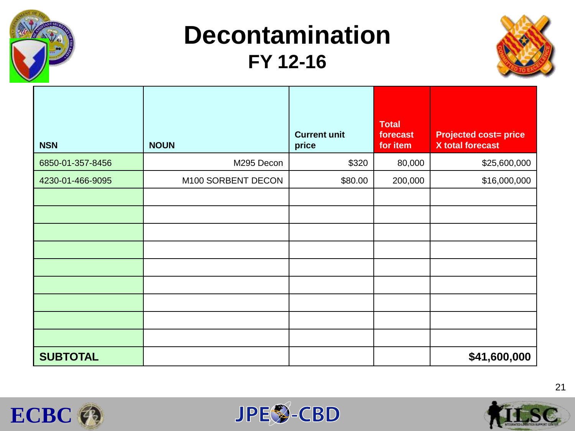

### **Decontamination FY 12-16**



| <b>NSN</b>       | <b>NOUN</b>        | <b>Current unit</b><br>price | <b>Total</b><br>forecast<br>for item | <b>Projected cost= price</b><br><b>X</b> total forecast |
|------------------|--------------------|------------------------------|--------------------------------------|---------------------------------------------------------|
| 6850-01-357-8456 | M295 Decon         | \$320                        | 80,000                               | \$25,600,000                                            |
| 4230-01-466-9095 | M100 SORBENT DECON | \$80.00                      | 200,000                              | \$16,000,000                                            |
|                  |                    |                              |                                      |                                                         |
|                  |                    |                              |                                      |                                                         |
|                  |                    |                              |                                      |                                                         |
|                  |                    |                              |                                      |                                                         |
|                  |                    |                              |                                      |                                                         |
|                  |                    |                              |                                      |                                                         |
|                  |                    |                              |                                      |                                                         |
|                  |                    |                              |                                      |                                                         |
|                  |                    |                              |                                      |                                                         |
| <b>SUBTOTAL</b>  |                    |                              |                                      | \$41,600,000                                            |





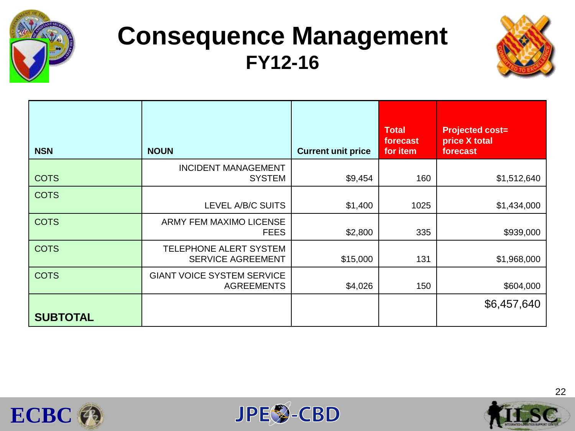

### **Consequence Management FY12-16**



| <b>NSN</b>      | <b>NOUN</b>                                            | <b>Current unit price</b> | <b>Total</b><br>forecast<br>for item | <b>Projected cost=</b><br>price X total<br>forecast |
|-----------------|--------------------------------------------------------|---------------------------|--------------------------------------|-----------------------------------------------------|
| <b>COTS</b>     | <b>INCIDENT MANAGEMENT</b><br><b>SYSTEM</b>            | \$9,454                   | 160                                  | \$1,512,640                                         |
| <b>COTS</b>     | LEVEL A/B/C SUITS                                      | \$1,400                   | 1025                                 | \$1,434,000                                         |
| <b>COTS</b>     | ARMY FEM MAXIMO LICENSE<br><b>FEES</b>                 | \$2,800                   | 335                                  | \$939,000                                           |
| <b>COTS</b>     | TELEPHONE ALERT SYSTEM<br><b>SERVICE AGREEMENT</b>     | \$15,000                  | 131                                  | \$1,968,000                                         |
| <b>COTS</b>     | <b>GIANT VOICE SYSTEM SERVICE</b><br><b>AGREEMENTS</b> | \$4,026                   | 150                                  | \$604,000                                           |
| <b>SUBTOTAL</b> |                                                        |                           |                                      | \$6,457,640                                         |